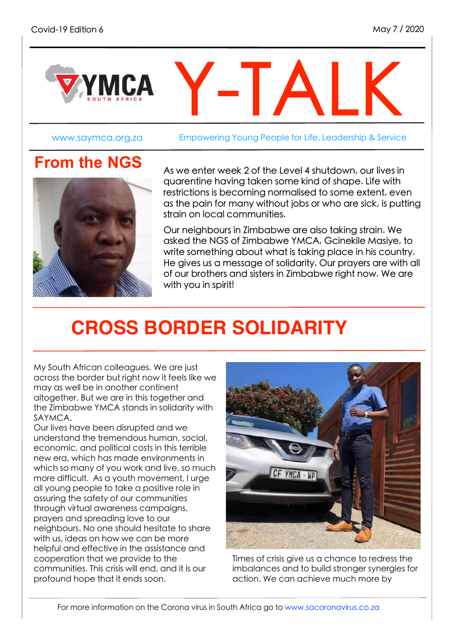

www.saymca.org.za Empowering Young People for Life, Leadership & Service



**From the NGS**<br>As we enter week 2 of the Level 4 shutdown, our lives in quarentine having taken some kind of shape. Life with restrictions is becoming normalised to some extent, even as the pain for many without jobs or who are sick, is putting strain on local communities.

> Our neighbours in Zimbabwe are also taking strain. We asked the NGS of Zimbabwe YMCA, Gcinekile Masiye, to write something about what is taking place in his country. He gives us a message of solidarity. Our prayers are with all of our brothers and sisters in Zimbabwe right now. We are with you in spirit!

# **CROSS BORDER SOLIDARITY**

My South African colleagues. We are just across the border but right now it feels like we may as well be in another continent altogether. But we are in this together and the Zimbabwe YMCA stands in solidarity with SAYMCA.

Our lives have been disrupted and we understand the tremendous human, social, economic, and political costs in this terrible new era, which has made environments in which so many of you work and live, so much more difficult. As a youth movement, I urge all young people to take a positive role in assuring the safety of our communities through virtual awareness campaigns, prayers and spreading love to our neighbours. No one should hesitate to share with us, ideas on how we can be more helpful and effective in the assistance and cooperation that we provide to the communities. This crisis will end, and it is our profound hope that it ends soon.



Times of crisis give us a chance to redress the imbalances and to build stronger synergies for action. We can achieve much more by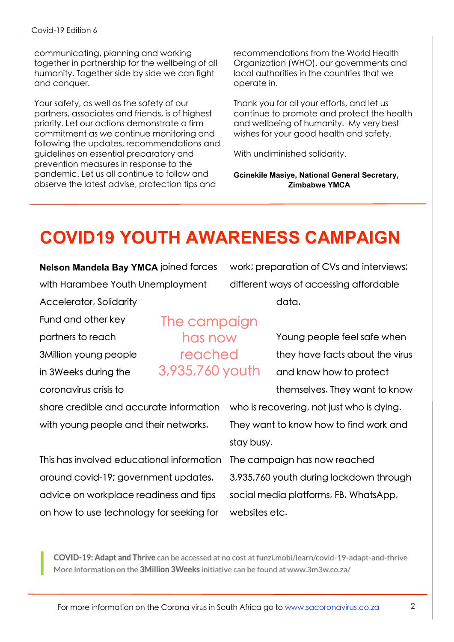communicating, planning and working together in partnership for the wellbeing of all humanity. Together side by side we can fight and conquer.

Your safety, as well as the safety of our partners, associates and friends, is of highest priority. Let our actions demonstrate a firm commitment as we continue monitoring and following the updates, recommendations and guidelines on essential preparatory and prevention measures in response to the pandemic. Let us all continue to follow and observe the latest advise, protection tips and

recommendations from the World Health Organization (WHO), our governments and local authorities in the countries that we operate in.

Thank you for all your efforts, and let us continue to promote and protect the health and wellbeing of humanity. My very best wishes for your good health and safety.

With undiminished solidarity.

**Gcinekile Masiye, National General Secretary, Zimbabwe YMCA**

### **COVID19 YOUTH AWARENESS CAMPAIGN**

**Nelson Mandela Bay YMCA** joined forces with Harambee Youth Unemployment

Accelerator, Solidarity

Fund and other key

partners to reach 3Million young people

in 3Weeks during the

coronavirus crisis to

The campaign has now reached 3,935,760 youth

work; preparation of CVs and interviews; different ways of accessing affordable data.

> Young people feel safe when they have facts about the virus and know how to protect themselves. They want to know

share credible and accurate information who is recovering, not just who is dying. with young people and their networks.

This has involved educational information around covid-19; government updates, advice on workplace readiness and tips on how to use technology for seeking for

They want to know how to find work and stay busy.

The campaign has now reached 3,935,760 youth during lockdown through social media platforms, FB, WhatsApp, websites etc.

COVID-19: Adapt and Thrive can be accessed at no cost at funzi.mobi/learn/covid-19-adapt-and-thrive More information on the 3Million 3Weeks initiative can be found at www.3m3w.co.za/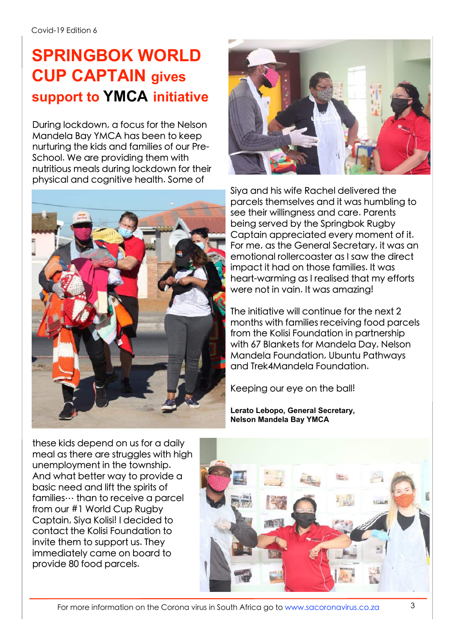### **SPRINGBOK WORLD CUP CAPTAIN gives support to YMCA initiative**

During lockdown, a focus for the Nelson Mandela Bay YMCA has been to keep nurturing the kids and families of our Pre-School. We are providing them with nutritious meals during lockdown for their physical and cognitive health. Some of





Siya and his wife Rachel delivered the parcels themselves and it was humbling to see their willingness and care. Parents being served by the Springbok Rugby Captain appreciated every moment of it. For me, as the General Secretary, it was an emotional rollercoaster as I saw the direct impact it had on those families. It was heart-warming as I realised that my efforts were not in vain. It was amazing!

The initiative will continue for the next 2 months with families receiving food parcels from the Kolisi Foundation in partnership with 67 Blankets for Mandela Day, Nelson Mandela Foundation, Ubuntu Pathways and Trek4Mandela Foundation.

Keeping our eye on the ball!

**Lerato Lebopo, General Secretary, Nelson Mandela Bay YMCA**

these kids depend on us for a daily meal as there are struggles with high unemployment in the township. And what better way to provide a basic need and lift the spirits of families  $\cdots$  than to receive a parcel from our #1 World Cup Rugby Captain, Siya Kolisi! I decided to contact the Kolisi Foundation to invite them to support us. They immediately came on board to provide 80 food parcels.

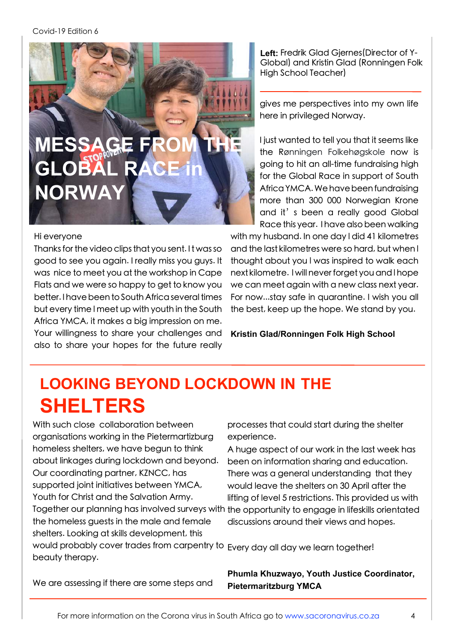

#### Hi everyone

Thanks for the video clips that you sent. It was so good to see you again. I really miss you guys. It was nice to meet you at the workshop in Cape Flats and we were so happy to get to know you better. I have been to South Africa several times but every time l meet up with youth in the South Africa YMCA, it makes a big impression on me. Your willingness to share your challenges and also to share your hopes for the future really

**Left:** Fredrik Glad Gjernes(Director of Y-Global) and Kristin Glad (Ronningen Folk High School Teacher)

gives me perspectives into my own life here in privileged Norway.

I just wanted to tell you that it seems like the Rønningen Folkehøgskole now is going to hit an all-time fundraising high for the Global Race in support of South AfricaYMCA.Wehavebeenfundraising more than 300 000 Norwegian Krone and it's been a really good Global Race this year. I have also been walking

with my husband. In one day l did 41 kilometres and the last kilometres were so hard, but when l thought about you l was inspired to walk each next kilometre. l will never forget you and l hope we can meet again with a new class next year. For now...stay safe in quarantine. I wish you all the best, keep up the hope. We stand by you.

**Kristin Glad/Ronningen Folk High School**

#### **LOOKING BEYOND LOCKDOWN IN THE SHELTERS**

With such close collaboration between organisations working in the Pietermartizburg homeless shelters, we have begun to think about linkages during lockdown and beyond. Our coordinating partner, KZNCC, has supported joint initiatives between YMCA, Youth for Christ and the Salvation Army. the homeless guests in the male and female shelters. Looking at skills development, this would probably cover trades from carpentry to Every day all day we learn together! beauty therapy.

processes that could start during the shelter experience.

Together our planning has involved surveys with the opportunity to engage in lifeskills orientated A huge aspect of our work in the last week has been on information sharing and education. There was a general understanding that they would leave the shelters on 30 April after the lifting of level 5 restrictions. This provided us with discussions around their views and hopes.

**Phumla Khuzwayo, Youth Justice Coordinator, Pietermaritzburg YMCA**

We are assessing if there are some steps and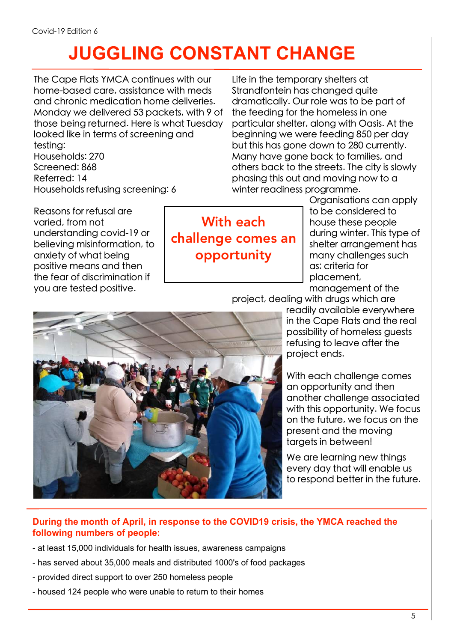# **JUGGLING CONSTANT CHANGE**

The Cape Flats YMCA continues with our home-based care, assistance with meds and chronic medication home deliveries. Monday we delivered 53 packets, with 9 of those being returned. Here is what Tuesday looked like in terms of screening and testing: Households: 270 Screened: 868 Referred: 14 Households refusing screening: 6

Life in the temporary shelters at Strandfontein has changed quite dramatically. Our role was to be part of the feeding for the homeless in one particular shelter, along with Oasis. At the beginning we were feeding 850 per day but this has gone down to 280 currently. Many have gone back to families, and others back to the streets. The city is slowly phasing this out and moving now to a winter readiness programme.

Reasons for refusal are varied, from not understanding covid-19 or believing misinformation, to anxiety of what being positive means and then the fear of discrimination if you are tested positive.

With each challenge comes an opportunity

Organisations can apply to be considered to house these people during winter. This type of shelter arrangement has many challenges such as: criteria for placement,

management of the

project, dealing with drugs which are

readily available everywhere in the Cape Flats and the real possibility of homeless guests refusing to leave after the project ends.

With each challenge comes an opportunity and then another challenge associated with this opportunity. We focus on the future, we focus on the present and the moving targets in between!

We are learning new things every day that will enable us to respond better in the future.

#### **During the month of April, in response to the COVID19 crisis, the YMCA reached the following numbers of people:**

- at least 15,000 individuals for health issues, awareness campaigns
- has served about 35,000 meals and distributed 1000's of food packages
- provided direct support to over 250 homeless people
- housed 124 people who were unable to return to their homes